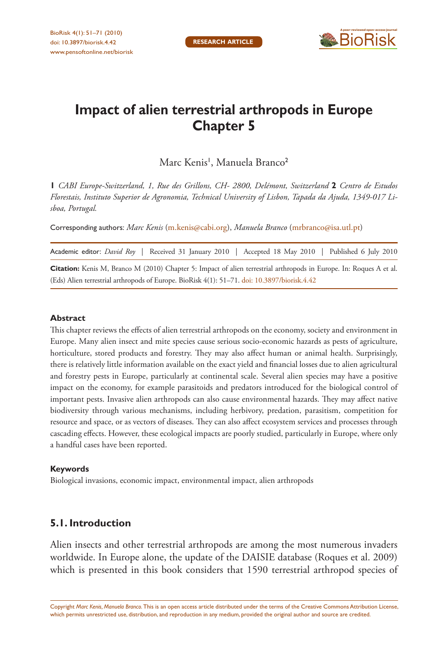

# **Impact of alien terrestrial arthropods in Europe Chapter 5**

Marc Kenis', Manuela Branco<sup>2</sup>

**1** *CABI Europe-Switzerland, 1, Rue des Grillons, CH- 2800, Delémont, Switzerland* **2** *Centro de Estudos Florestais, Instituto Superior de Agronomia, Technical University of Lisbon, Tapada da Ajuda, 1349-017 Lisboa, Portugal.*

Corresponding authors: *Marc Kenis* [\(m.kenis@cabi.org](mailto:m.kenis@cabi.org)), *Manuela Branco* [\(mrbranco@isa.utl.pt](mailto:mrbranco@isa.utl.pt))

|  |  |  |  | Academic editor: <i>David Roy</i>   Received 31 January 2010   Accepted 18 May 2010   Published 6 July 2010         |  |  |  |  |
|--|--|--|--|---------------------------------------------------------------------------------------------------------------------|--|--|--|--|
|  |  |  |  | Citation: Kenis M, Branco M (2010) Chapter 5: Impact of alien terrestrial arthropods in Europe. In: Roques A et al. |  |  |  |  |
|  |  |  |  | (Eds) Alien terrestrial arthropods of Europe. BioRisk 4(1): 51–71. doi: 10.3897/biorisk.4.42                        |  |  |  |  |

#### **Abstract**

This chapter reviews the effects of alien terrestrial arthropods on the economy, society and environment in Europe. Many alien insect and mite species cause serious socio-economic hazards as pests of agriculture, horticulture, stored products and forestry. They may also affect human or animal health. Surprisingly, there is relatively little information available on the exact yield and financial losses due to alien agricultural and forestry pests in Europe, particularly at continental scale. Several alien species may have a positive impact on the economy, for example parasitoids and predators introduced for the biological control of important pests. Invasive alien arthropods can also cause environmental hazards. They may affect native biodiversity through various mechanisms, including herbivory, predation, parasitism, competition for resource and space, or as vectors of diseases. They can also affect ecosystem services and processes through cascading effects. However, these ecological impacts are poorly studied, particularly in Europe, where only a handful cases have been reported.

#### **Keywords**

Biological invasions, economic impact, environmental impact, alien arthropods

# **5.1. Introduction**

Alien insects and other terrestrial arthropods are among the most numerous invaders worldwide. In Europe alone, the update of the DAISIE database (Roques et al. 2009) which is presented in this book considers that 1590 terrestrial arthropod species of

Copyright *Marc Kenis, Manuela Branco.* This is an open access article distributed under the terms of th[e Creative Commons Attribution License,](http://creativecommons.org/licenses/by/3.0/)  which permits unrestricted use, distribution, and reproduction in any medium, provided the original author and source are credited.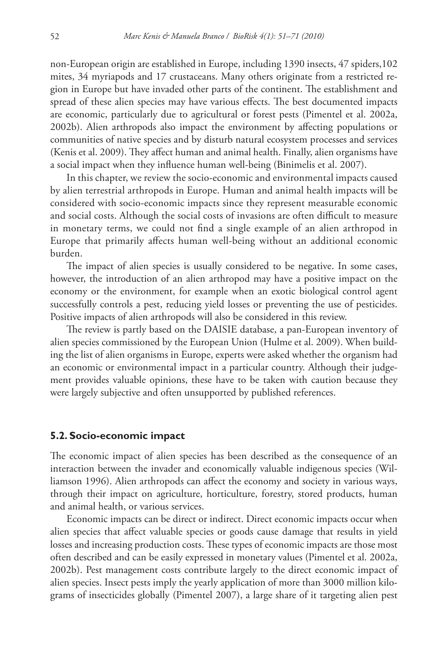non-European origin are established in Europe, including 1390 insects, 47 spiders,102 mites, 34 myriapods and 17 crustaceans. Many others originate from a restricted region in Europe but have invaded other parts of the continent. The establishment and spread of these alien species may have various effects. The best documented impacts are economic, particularly due to agricultural or forest pests (Pimentel et al. 2002a, 2002b). Alien arthropods also impact the environment by affecting populations or communities of native species and by disturb natural ecosystem processes and services (Kenis et al. 2009). They affect human and animal health. Finally, alien organisms have a social impact when they influence human well-being (Binimelis et al. 2007).

In this chapter, we review the socio-economic and environmental impacts caused by alien terrestrial arthropods in Europe. Human and animal health impacts will be considered with socio-economic impacts since they represent measurable economic and social costs. Although the social costs of invasions are often difficult to measure in monetary terms, we could not find a single example of an alien arthropod in Europe that primarily affects human well-being without an additional economic burden.

The impact of alien species is usually considered to be negative. In some cases, however, the introduction of an alien arthropod may have a positive impact on the economy or the environment, for example when an exotic biological control agent successfully controls a pest, reducing yield losses or preventing the use of pesticides. Positive impacts of alien arthropods will also be considered in this review.

The review is partly based on the DAISIE database, a pan-European inventory of alien species commissioned by the European Union (Hulme et al. 2009). When building the list of alien organisms in Europe, experts were asked whether the organism had an economic or environmental impact in a particular country. Although their judgement provides valuable opinions, these have to be taken with caution because they were largely subjective and often unsupported by published references.

#### **5.2. Socio-economic impact**

The economic impact of alien species has been described as the consequence of an interaction between the invader and economically valuable indigenous species (Williamson 1996). Alien arthropods can affect the economy and society in various ways, through their impact on agriculture, horticulture, forestry, stored products, human and animal health, or various services.

Economic impacts can be direct or indirect. Direct economic impacts occur when alien species that affect valuable species or goods cause damage that results in yield losses and increasing production costs. These types of economic impacts are those most often described and can be easily expressed in monetary values (Pimentel et al. 2002a, 2002b). Pest management costs contribute largely to the direct economic impact of alien species. Insect pests imply the yearly application of more than 3000 million kilograms of insecticides globally (Pimentel 2007), a large share of it targeting alien pest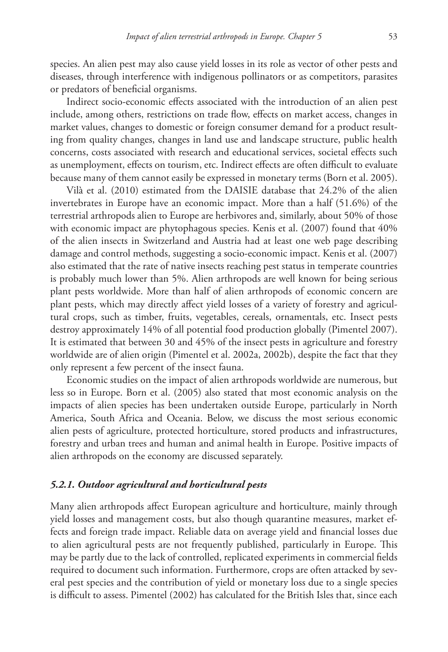species. An alien pest may also cause yield losses in its role as vector of other pests and diseases, through interference with indigenous pollinators or as competitors, parasites or predators of beneficial organisms.

Indirect socio-economic effects associated with the introduction of an alien pest include, among others, restrictions on trade flow, effects on market access, changes in market values, changes to domestic or foreign consumer demand for a product resulting from quality changes, changes in land use and landscape structure, public health concerns, costs associated with research and educational services, societal effects such as unemployment, effects on tourism, etc. Indirect effects are often difficult to evaluate because many of them cannot easily be expressed in monetary terms (Born et al. 2005).

Vilà et al. (2010) estimated from the DAISIE database that 24.2% of the alien invertebrates in Europe have an economic impact. More than a half (51.6%) of the terrestrial arthropods alien to Europe are herbivores and, similarly, about 50% of those with economic impact are phytophagous species. Kenis et al. (2007) found that 40% of the alien insects in Switzerland and Austria had at least one web page describing damage and control methods, suggesting a socio-economic impact. Kenis et al. (2007) also estimated that the rate of native insects reaching pest status in temperate countries is probably much lower than 5%. Alien arthropods are well known for being serious plant pests worldwide. More than half of alien arthropods of economic concern are plant pests, which may directly affect yield losses of a variety of forestry and agricultural crops, such as timber, fruits, vegetables, cereals, ornamentals, etc. Insect pests destroy approximately 14% of all potential food production globally (Pimentel 2007). It is estimated that between 30 and 45% of the insect pests in agriculture and forestry worldwide are of alien origin (Pimentel et al. 2002a, 2002b), despite the fact that they only represent a few percent of the insect fauna.

Economic studies on the impact of alien arthropods worldwide are numerous, but less so in Europe. Born et al. (2005) also stated that most economic analysis on the impacts of alien species has been undertaken outside Europe, particularly in North America, South Africa and Oceania. Below, we discuss the most serious economic alien pests of agriculture, protected horticulture, stored products and infrastructures, forestry and urban trees and human and animal health in Europe. Positive impacts of alien arthropods on the economy are discussed separately.

#### *5.2.1. Outdoor agricultural and horticultural pests*

Many alien arthropods affect European agriculture and horticulture, mainly through yield losses and management costs, but also though quarantine measures, market effects and foreign trade impact. Reliable data on average yield and financial losses due to alien agricultural pests are not frequently published, particularly in Europe. This may be partly due to the lack of controlled, replicated experiments in commercial fields required to document such information. Furthermore, crops are often attacked by several pest species and the contribution of yield or monetary loss due to a single species is difficult to assess. Pimentel (2002) has calculated for the British Isles that, since each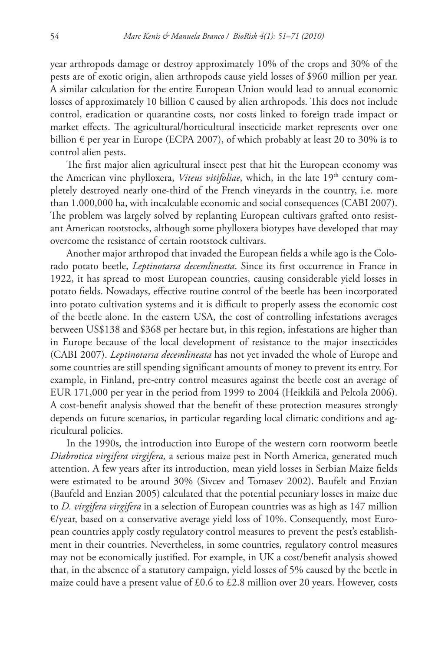year arthropods damage or destroy approximately 10% of the crops and 30% of the pests are of exotic origin, alien arthropods cause yield losses of \$960 million per year. A similar calculation for the entire European Union would lead to annual economic losses of approximately 10 billion  $\epsilon$  caused by alien arthropods. This does not include control, eradication or quarantine costs, nor costs linked to foreign trade impact or market effects. The agricultural/horticultural insecticide market represents over one billion  $\epsilon$  per year in Europe (ECPA 2007), of which probably at least 20 to 30% is to control alien pests.

The first major alien agricultural insect pest that hit the European economy was the American vine phylloxera, *Viteus vitifoliae*, which, in the late 19<sup>th</sup> century completely destroyed nearly one-third of the French vineyards in the country, i.e. more than 1.000,000 ha, with incalculable economic and social consequences (CABI 2007). The problem was largely solved by replanting European cultivars grafted onto resistant American rootstocks, although some phylloxera biotypes have developed that may overcome the resistance of certain rootstock cultivars.

Another major arthropod that invaded the European fields a while ago is the Colorado potato beetle, *Leptinotarsa decemlineata*. Since its first occurrence in France in 1922, it has spread to most European countries, causing considerable yield losses in potato fields. Nowadays, effective routine control of the beetle has been incorporated into potato cultivation systems and it is difficult to properly assess the economic cost of the beetle alone. In the eastern USA, the cost of controlling infestations averages between US\$138 and \$368 per hectare but, in this region, infestations are higher than in Europe because of the local development of resistance to the major insecticides (CABI 2007). *Leptinotarsa decemlineata* has not yet invaded the whole of Europe and some countries are still spending significant amounts of money to prevent its entry. For example, in Finland, pre-entry control measures against the beetle cost an average of EUR 171,000 per year in the period from 1999 to 2004 (Heikkilä and Peltola 2006). A cost-benefit analysis showed that the benefit of these protection measures strongly depends on future scenarios, in particular regarding local climatic conditions and agricultural policies.

In the 1990s, the introduction into Europe of the western corn rootworm beetle *Diabrotica virgifera virgifera,* a serious maize pest in North America, generated much attention. A few years after its introduction, mean yield losses in Serbian Maize fields were estimated to be around 30% (Sivcev and Tomasev 2002). Baufelt and Enzian (Baufeld and Enzian 2005) calculated that the potential pecuniary losses in maize due to *D. virgifera virgifera* in a selection of European countries was as high as 147 million  $\epsilon$ /year, based on a conservative average yield loss of 10%. Consequently, most European countries apply costly regulatory control measures to prevent the pest's establishment in their countries. Nevertheless, in some countries, regulatory control measures may not be economically justified. For example, in UK a cost/benefit analysis showed that, in the absence of a statutory campaign, yield losses of 5% caused by the beetle in maize could have a present value of £0.6 to £2.8 million over 20 years. However, costs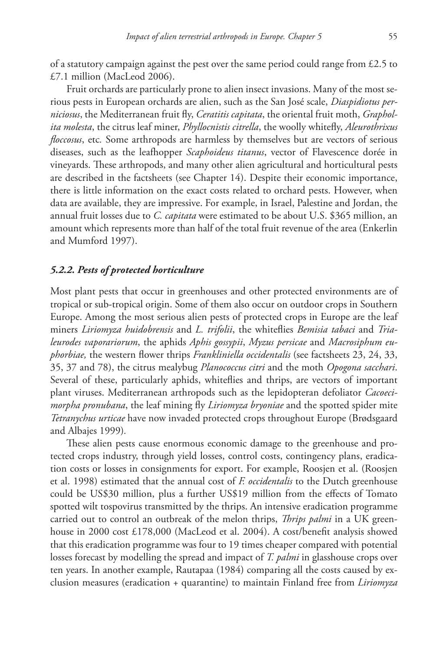of a statutory campaign against the pest over the same period could range from £2.5 to £7.1 million (MacLeod 2006).

Fruit orchards are particularly prone to alien insect invasions. Many of the most serious pests in European orchards are alien, such as the San José scale, *Diaspidiotus per*niciosus, the Mediterranean fruit fly, *Ceratitis capitata*, the oriental fruit moth, *Grapholita molesta*, the citrus leaf miner, *Phyllocnistis citrella*, the woolly whitefly, *Aleurothrixus floccosus*, etc. Some arthropods are harmless by themselves but are vectors of serious diseases, such as the leafhopper *Scaphoideus titanus*, vector of Flavescence dorée in vineyards. These arthropods, and many other alien agricultural and horticultural pests are described in the factsheets (see Chapter 14). Despite their economic importance, there is little information on the exact costs related to orchard pests. However, when data are available, they are impressive. For example, in Israel, Palestine and Jordan, the annual fruit losses due to *C. capitata* were estimated to be about U.S. \$365 million, an amount which represents more than half of the total fruit revenue of the area (Enkerlin and Mumford 1997).

#### *5.2.2. Pests of protected horticulture*

Most plant pests that occur in greenhouses and other protected environments are of tropical or sub-tropical origin. Some of them also occur on outdoor crops in Southern Europe. Among the most serious alien pests of protected crops in Europe are the leaf miners *Liriomyza huidobrensis* and *L. trifolii*, the whiteflies *Bemisia tabaci* and *Trialeurodes vaporariorum*, the aphids *Aphis gossypii*, *Myzus persicae* and *Macrosiphum euphorbiae,* the western flower thrips *Frankliniella occidentalis* (see factsheets 23, 24, 33, 35, 37 and 78), the citrus mealybug *Planococcus citri* and the moth *Opogona sacchari*. Several of these, particularly aphids, whiteflies and thrips, are vectors of important plant viruses. Mediterranean arthropods such as the lepidopteran defoliator *Cacoecimorpha pronubana*, the leaf mining fly *Liriomyza bryoniae* and the spotted spider mite *Tetranychus urticae* have now invaded protected crops throughout Europe (Brødsgaard and Albajes 1999)*.*

These alien pests cause enormous economic damage to the greenhouse and protected crops industry, through yield losses, control costs, contingency plans, eradication costs or losses in consignments for export. For example, Roosjen et al. (Roosjen et al. 1998) estimated that the annual cost of *F. occidentalis* to the Dutch greenhouse could be US\$30 million, plus a further US\$19 million from the effects of Tomato spotted wilt tospovirus transmitted by the thrips. An intensive eradication programme carried out to control an outbreak of the melon thrips, *Thrips palmi* in a UK greenhouse in 2000 cost £178,000 (MacLeod et al. 2004). A cost/benefit analysis showed that this eradication programme was four to 19 times cheaper compared with potential losses forecast by modelling the spread and impact of *T. palmi* in glasshouse crops over ten years. In another example, Rautapaa (1984) comparing all the costs caused by exclusion measures (eradication + quarantine) to maintain Finland free from *Liriomyza*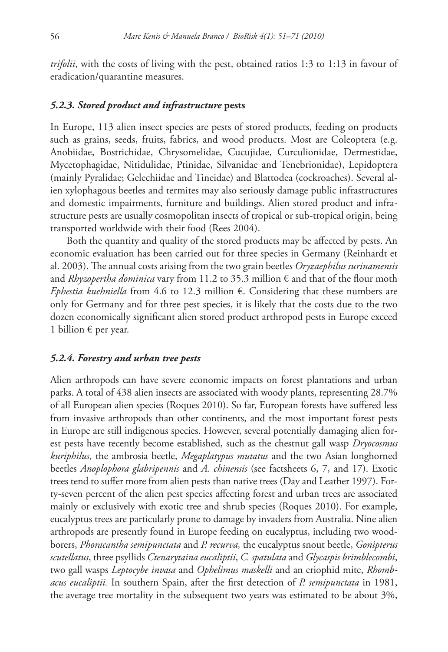*trifolii*, with the costs of living with the pest, obtained ratios 1:3 to 1:13 in favour of eradication/quarantine measures.

#### *5.2.3. Stored product and infrastructure* **pests**

In Europe, 113 alien insect species are pests of stored products, feeding on products such as grains, seeds, fruits, fabrics, and wood products. Most are Coleoptera (e.g. Anobiidae, Bostrichidae, Chrysomelidae, Cucujidae, Curculionidae, Dermestidae, Mycetophagidae, Nitidulidae, Ptinidae, Silvanidae and Tenebrionidae), Lepidoptera (mainly Pyralidae; Gelechiidae and Tineidae) and Blattodea (cockroaches). Several alien xylophagous beetles and termites may also seriously damage public infrastructures and domestic impairments, furniture and buildings. Alien stored product and infrastructure pests are usually cosmopolitan insects of tropical or sub-tropical origin, being transported worldwide with their food (Rees 2004).

Both the quantity and quality of the stored products may be affected by pests. An economic evaluation has been carried out for three species in Germany (Reinhardt et al. 2003). The annual costs arising from the two grain beetles *Oryzaephilus surinamensis* and *Rhyzopertha dominica* vary from 11.2 to 35.3 million  $\epsilon$  and that of the flour moth *Ephestia kuehniella* from 4.6 to 12.3 million €. Considering that these numbers are only for Germany and for three pest species, it is likely that the costs due to the two dozen economically significant alien stored product arthropod pests in Europe exceed 1 billion € per year.

#### *5.2.4. Forestry and urban tree pests*

Alien arthropods can have severe economic impacts on forest plantations and urban parks. A total of 438 alien insects are associated with woody plants, representing 28.7% of all European alien species (Roques 2010). So far, European forests have suffered less from invasive arthropods than other continents, and the most important forest pests in Europe are still indigenous species. However, several potentially damaging alien forest pests have recently become established, such as the chestnut gall wasp *Dryocosmus kuriphilus*, the ambrosia beetle, *Megaplatypus mutatus* and the two Asian longhorned beetles *Anoplophora glabripennis* and *A. chinensis* (see factsheets 6, 7, and 17). Exotic trees tend to suffer more from alien pests than native trees (Day and Leather 1997). Forty-seven percent of the alien pest species affecting forest and urban trees are associated mainly or exclusively with exotic tree and shrub species (Roques 2010). For example, eucalyptus trees are particularly prone to damage by invaders from Australia. Nine alien arthropods are presently found in Europe feeding on eucalyptus, including two woodborers, *Phoracantha semipunctata* and *P. recurva,* the eucalyptus snout beetle, *Gonipterus scutellatus*, three psyllids *Ctenarytaina eucaliptii*, *C. spatulata* and *Glycaspis brimblecombi*, two gall wasps *Leptocybe invasa* and *Ophelimus maskelli* and an eriophid mite, *Rhomb*acus eucaliptii. In southern Spain, after the first detection of *P. semipunctata* in 1981, the average tree mortality in the subsequent two years was estimated to be about 3%,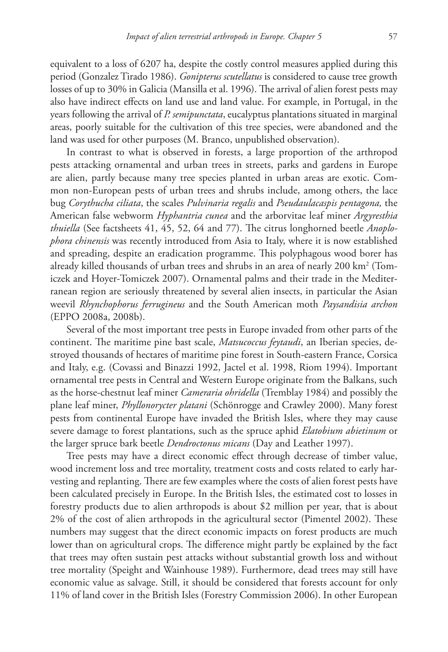equivalent to a loss of 6207 ha, despite the costly control measures applied during this period (Gonzalez Tirado 1986). *Gonipterus scutellatus* is considered to cause tree growth losses of up to 30% in Galicia (Mansilla et al. 1996). The arrival of alien forest pests may also have indirect effects on land use and land value. For example, in Portugal, in the years following the arrival of *P. semipunctata*, eucalyptus plantations situated in marginal areas, poorly suitable for the cultivation of this tree species, were abandoned and the land was used for other purposes (M. Branco, unpublished observation).

In contrast to what is observed in forests, a large proportion of the arthropod pests attacking ornamental and urban trees in streets, parks and gardens in Europe are alien, partly because many tree species planted in urban areas are exotic. Common non-European pests of urban trees and shrubs include, among others, the lace bug *Corythucha ciliata*, the scales *Pulvinaria regalis* and *Pseudaulacaspis pentagona,* the American false webworm *Hyphantria cunea* and the arborvitae leaf miner *Argyresthia thuiella* (See factsheets 41, 45, 52, 64 and 77). The citrus longhorned beetle *Anoplophora chinensis* was recently introduced from Asia to Italy, where it is now established and spreading, despite an eradication programme. This polyphagous wood borer has already killed thousands of urban trees and shrubs in an area of nearly 200 km² (Tomiczek and Hoyer-Tomiczek 2007). Ornamental palms and their trade in the Mediterranean region are seriously threatened by several alien insects, in particular the Asian weevil *Rhynchophorus ferrugineus* and the South American moth *Paysandisia archon* (EPPO 2008a, 2008b).

Several of the most important tree pests in Europe invaded from other parts of the continent. The maritime pine bast scale, *Matsucoccus feytaudi*, an Iberian species, destroyed thousands of hectares of maritime pine forest in South-eastern France, Corsica and Italy, e.g. (Covassi and Binazzi 1992, Jactel et al. 1998, Riom 1994). Important ornamental tree pests in Central and Western Europe originate from the Balkans, such as the horse-chestnut leaf miner *Cameraria ohridella* (Tremblay 1984) and possibly the plane leaf miner, *Phyllonorycter platani* (Schönrogge and Crawley 2000). Many forest pests from continental Europe have invaded the British Isles, where they may cause severe damage to forest plantations, such as the spruce aphid *Elatobium abietinum* or the larger spruce bark beetle *Dendroctonus micans* (Day and Leather 1997).

Tree pests may have a direct economic effect through decrease of timber value, wood increment loss and tree mortality, treatment costs and costs related to early harvesting and replanting. There are few examples where the costs of alien forest pests have been calculated precisely in Europe. In the British Isles, the estimated cost to losses in forestry products due to alien arthropods is about \$2 million per year, that is about 2% of the cost of alien arthropods in the agricultural sector (Pimentel 2002). These numbers may suggest that the direct economic impacts on forest products are much lower than on agricultural crops. The difference might partly be explained by the fact that trees may often sustain pest attacks without substantial growth loss and without tree mortality (Speight and Wainhouse 1989). Furthermore, dead trees may still have economic value as salvage. Still, it should be considered that forests account for only 11% of land cover in the British Isles (Forestry Commission 2006). In other European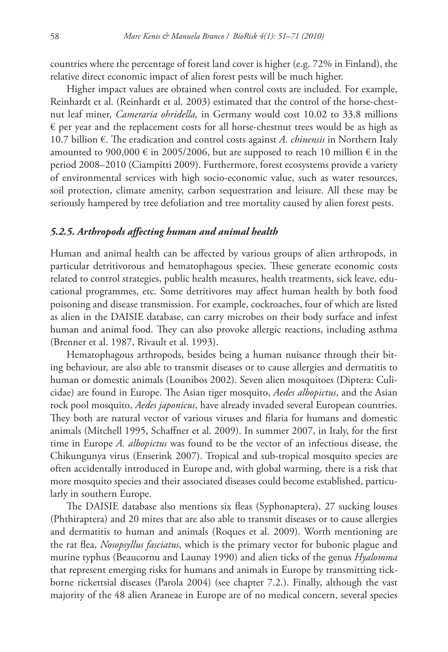countries where the percentage of forest land cover is higher (e.g. 72% in Finland), the relative direct economic impact of alien forest pests will be much higher.

Higher impact values are obtained when control costs are included. For example, Reinhardt et al. (Reinhardt et al. 2003) estimated that the control of the horse-chestnut leaf miner, *Cameraria ohridella,* in Germany would cost 10.02 to 33.8 millions  $\epsilon$  per year and the replacement costs for all horse-chestnut trees would be as high as 10.7 billion  $€$ . The eradication and control costs against *A. chinensis* in Northern Italy amounted to 900,000 € in 2005/2006, but are supposed to reach 10 million  $€$  in the period 2008–2010 (Ciampitti 2009). Furthermore, forest ecosystems provide a variety of environmental services with high socio-economic value, such as water resources, soil protection, climate amenity, carbon sequestration and leisure. All these may be seriously hampered by tree defoliation and tree mortality caused by alien forest pests.

#### *5.2.5. Arthropods aff ecting human and animal health*

Human and animal health can be affected by various groups of alien arthropods, in particular detritivorous and hematophagous species. These generate economic costs related to control strategies, public health measures, health treatments, sick leave, educational programmes, etc. Some detritivores may affect human health by both food poisoning and disease transmission. For example, cockroaches, four of which are listed as alien in the DAISIE database, can carry microbes on their body surface and infest human and animal food. They can also provoke allergic reactions, including asthma (Brenner et al. 1987, Rivault et al. 1993).

Hematophagous arthropods, besides being a human nuisance through their biting behaviour, are also able to transmit diseases or to cause allergies and dermatitis to human or domestic animals (Lounibos 2002). Seven alien mosquitoes (Diptera: Culicidae) are found in Europe. The Asian tiger mosquito, *Aedes albopictus*, and the Asian rock pool mosquito, *Aedes japonicus*, have already invaded several European countries. They both are natural vector of various viruses and filaria for humans and domestic animals (Mitchell 1995, Schaffner et al. 2009). In summer 2007, in Italy, for the first time in Europe *A. albopictus* was found to be the vector of an infectious disease, the Chikungunya virus (Enserink 2007). Tropical and sub-tropical mosquito species are often accidentally introduced in Europe and, with global warming, there is a risk that more mosquito species and their associated diseases could become established, particularly in southern Europe.

The DAISIE database also mentions six fleas (Syphonaptera), 27 sucking louses (Phthiraptera) and 20 mites that are also able to transmit diseases or to cause allergies and dermatitis to human and animals (Roques et al. 2009). Worth mentioning are the rat flea, *Nosopsyllus fasciatus*, which is the primary vector for bubonic plague and murine typhus (Beaucornu and Launay 1990) and alien ticks of the genus *Hyalomma* that represent emerging risks for humans and animals in Europe by transmitting tickborne rickettsial diseases (Parola 2004) (see chapter 7.2.). Finally, although the vast majority of the 48 alien Araneae in Europe are of no medical concern, several species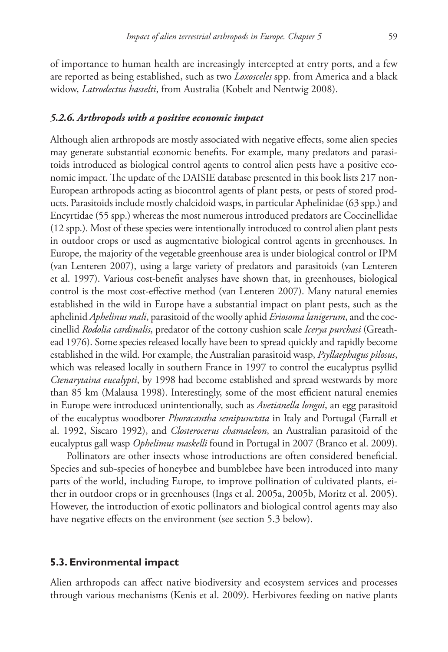of importance to human health are increasingly intercepted at entry ports, and a few are reported as being established, such as two *Loxosceles* spp. from America and a black widow, *Latrodectus hasselti*, from Australia (Kobelt and Nentwig 2008).

#### *5.2.6. Arthropods with a positive economic impact*

Although alien arthropods are mostly associated with negative effects, some alien species may generate substantial economic benefits. For example, many predators and parasitoids introduced as biological control agents to control alien pests have a positive economic impact. The update of the DAISIE database presented in this book lists 217 non-European arthropods acting as biocontrol agents of plant pests, or pests of stored products. Parasitoids include mostly chalcidoid wasps, in particular Aphelinidae (63 spp.) and Encyrtidae (55 spp.) whereas the most numerous introduced predators are Coccinellidae (12 spp.). Most of these species were intentionally introduced to control alien plant pests in outdoor crops or used as augmentative biological control agents in greenhouses. In Europe, the majority of the vegetable greenhouse area is under biological control or IPM (van Lenteren 2007), using a large variety of predators and parasitoids (van Lenteren et al. 1997). Various cost-benefit analyses have shown that, in greenhouses, biological control is the most cost-effective method (van Lenteren 2007). Many natural enemies established in the wild in Europe have a substantial impact on plant pests, such as the aphelinid *Aphelinus mali*, parasitoid of the woolly aphid *Eriosoma lanigerum*, and the coccinellid *Rodolia cardinalis*, predator of the cottony cushion scale *Icerya purchasi* (Greathead 1976). Some species released locally have been to spread quickly and rapidly become established in the wild. For example, the Australian parasitoid wasp, *Psyllaephagus pilosus*, which was released locally in southern France in 1997 to control the eucalyptus psyllid *Ctenarytaina eucalypti*, by 1998 had become established and spread westwards by more than 85 km (Malausa 1998). Interestingly, some of the most efficient natural enemies in Europe were introduced unintentionally, such as *Avetianella longoi*, an egg parasitoid of the eucalyptus woodborer *Phoracantha semipunctata* in Italy and Portugal (Farrall et al. 1992, Siscaro 1992), and *Closterocerus chamaeleon*, an Australian parasitoid of the eucalyptus gall wasp *Ophelimus maskelli* found in Portugal in 2007 (Branco et al. 2009).

Pollinators are other insects whose introductions are often considered beneficial. Species and sub-species of honeybee and bumblebee have been introduced into many parts of the world, including Europe, to improve pollination of cultivated plants, either in outdoor crops or in greenhouses (Ings et al. 2005a, 2005b, Moritz et al. 2005). However, the introduction of exotic pollinators and biological control agents may also have negative effects on the environment (see section 5.3 below).

#### **5.3. Environmental impact**

Alien arthropods can affect native biodiversity and ecosystem services and processes through various mechanisms (Kenis et al. 2009). Herbivores feeding on native plants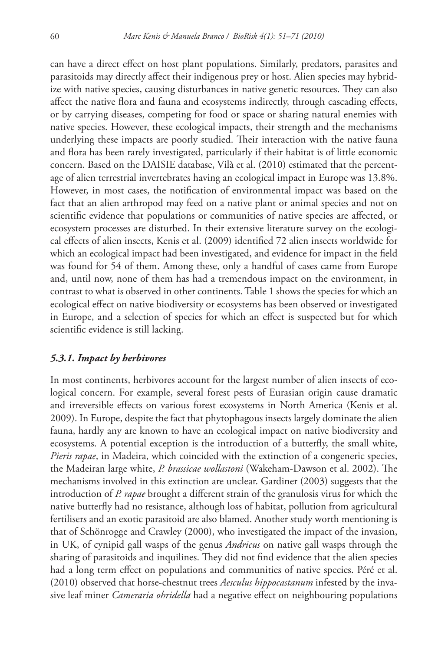can have a direct effect on host plant populations. Similarly, predators, parasites and parasitoids may directly affect their indigenous prey or host. Alien species may hybridize with native species, causing disturbances in native genetic resources. They can also affect the native flora and fauna and ecosystems indirectly, through cascading effects, or by carrying diseases, competing for food or space or sharing natural enemies with native species. However, these ecological impacts, their strength and the mechanisms underlying these impacts are poorly studied. Their interaction with the native fauna and flora has been rarely investigated, particularly if their habitat is of little economic concern. Based on the DAISIE database, Vilà et al. (2010) estimated that the percentage of alien terrestrial invertebrates having an ecological impact in Europe was 13.8%. However, in most cases, the notification of environmental impact was based on the fact that an alien arthropod may feed on a native plant or animal species and not on scientific evidence that populations or communities of native species are affected, or ecosystem processes are disturbed. In their extensive literature survey on the ecological effects of alien insects, Kenis et al. (2009) identified 72 alien insects worldwide for which an ecological impact had been investigated, and evidence for impact in the field was found for 54 of them. Among these, only a handful of cases came from Europe and, until now, none of them has had a tremendous impact on the environment, in contrast to what is observed in other continents. Table 1 shows the species for which an ecological effect on native biodiversity or ecosystems has been observed or investigated in Europe, and a selection of species for which an effect is suspected but for which scientific evidence is still lacking.

### *5.3.1. Impact by herbivores*

In most continents, herbivores account for the largest number of alien insects of ecological concern. For example, several forest pests of Eurasian origin cause dramatic and irreversible effects on various forest ecosystems in North America (Kenis et al. 2009). In Europe, despite the fact that phytophagous insects largely dominate the alien fauna, hardly any are known to have an ecological impact on native biodiversity and ecosystems. A potential exception is the introduction of a butterfly, the small white, *Pieris rapae*, in Madeira, which coincided with the extinction of a congeneric species, the Madeiran large white, *P. brassicae wollastoni* (Wakeham-Dawson et al. 2002). The mechanisms involved in this extinction are unclear. Gardiner (2003) suggests that the introduction of *P. rapae* brought a different strain of the granulosis virus for which the native butterfly had no resistance, although loss of habitat, pollution from agricultural fertilisers and an exotic parasitoid are also blamed. Another study worth mentioning is that of Schönrogge and Crawley (2000), who investigated the impact of the invasion, in UK, of cynipid gall wasps of the genus *Andricus* on native gall wasps through the sharing of parasitoids and inquilines. They did not find evidence that the alien species had a long term effect on populations and communities of native species. Péré et al. (2010) observed that horse-chestnut trees *Aesculus hippocastanum* infested by the invasive leaf miner *Cameraria ohridella* had a negative effect on neighbouring populations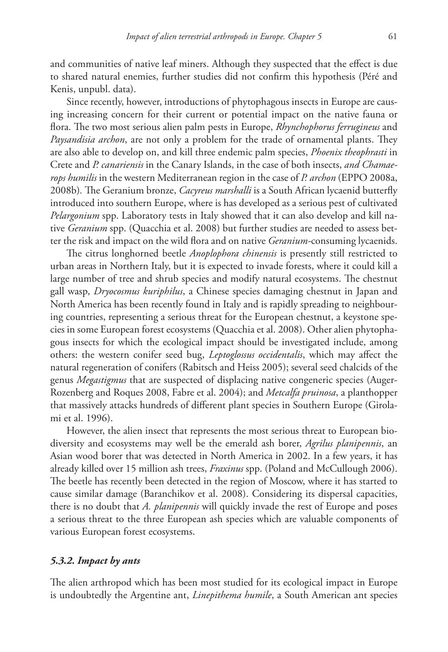and communities of native leaf miners. Although they suspected that the effect is due to shared natural enemies, further studies did not confirm this hypothesis (Péré and Kenis, unpubl. data).

Since recently, however, introductions of phytophagous insects in Europe are causing increasing concern for their current or potential impact on the native fauna or flora. The two most serious alien palm pests in Europe, *Rhynchophorus ferrugineus* and *Paysandisia archon*, are not only a problem for the trade of ornamental plants. They are also able to develop on, and kill three endemic palm species, *Phoenix theophrasti* in Crete and *P. canariensis* in the Canary Islands, in the case of both insects, *and Chamaerops humilis* in the western Mediterranean region in the case of *P. archon* (EPPO 2008a, 2008b). The Geranium bronze, *Cacyreus marshalli* is a South African lycaenid butterfly introduced into southern Europe, where is has developed as a serious pest of cultivated *Pelargonium* spp. Laboratory tests in Italy showed that it can also develop and kill native *Geranium* spp. (Quacchia et al. 2008) but further studies are needed to assess better the risk and impact on the wild flora and on native *Geranium*-consuming lycaenids.

The citrus longhorned beetle *Anoplophora chinensis* is presently still restricted to urban areas in Northern Italy, but it is expected to invade forests, where it could kill a large number of tree and shrub species and modify natural ecosystems. The chestnut gall wasp, *Dryocosmus kuriphilus*, a Chinese species damaging chestnut in Japan and North America has been recently found in Italy and is rapidly spreading to neighbouring countries, representing a serious threat for the European chestnut, a keystone species in some European forest ecosystems (Quacchia et al. 2008). Other alien phytophagous insects for which the ecological impact should be investigated include, among others: the western conifer seed bug, *Leptoglossus occidentalis*, which may affect the natural regeneration of conifers (Rabitsch and Heiss 2005); several seed chalcids of the genus *Megastigmus* that are suspected of displacing native congeneric species (Auger-Rozenberg and Roques 2008, Fabre et al. 2004); and *Metcalfa pruinosa*, a planthopper that massively attacks hundreds of different plant species in Southern Europe (Girolami et al. 1996).

However, the alien insect that represents the most serious threat to European biodiversity and ecosystems may well be the emerald ash borer, *Agrilus planipennis*, an Asian wood borer that was detected in North America in 2002. In a few years, it has already killed over 15 million ash trees, *Fraxinus* spp. (Poland and McCullough 2006). The beetle has recently been detected in the region of Moscow, where it has started to cause similar damage (Baranchikov et al. 2008). Considering its dispersal capacities, there is no doubt that *A. planipennis* will quickly invade the rest of Europe and poses a serious threat to the three European ash species which are valuable components of various European forest ecosystems.

#### *5.3.2. Impact by ants*

The alien arthropod which has been most studied for its ecological impact in Europe is undoubtedly the Argentine ant, *Linepithema humile*, a South American ant species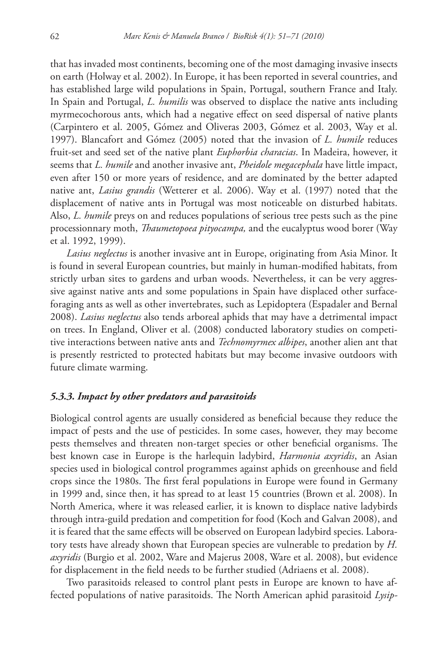that has invaded most continents, becoming one of the most damaging invasive insects on earth (Holway et al. 2002). In Europe, it has been reported in several countries, and has established large wild populations in Spain, Portugal, southern France and Italy. In Spain and Portugal, *L. humilis* was observed to displace the native ants including myrmecochorous ants, which had a negative effect on seed dispersal of native plants (Carpintero et al. 2005, Gómez and Oliveras 2003, Gómez et al. 2003, Way et al. 1997). Blancafort and Gómez (2005) noted that the invasion of *L. humile* reduces fruit-set and seed set of the native plant *Euphorbia characias*. In Madeira, however, it seems that *L. humile* and another invasive ant, *Pheidole megacephala* have little impact, even after 150 or more years of residence, and are dominated by the better adapted native ant, *Lasius grandis* (Wetterer et al. 2006). Way et al. (1997) noted that the displacement of native ants in Portugal was most noticeable on disturbed habitats. Also, *L. humile* preys on and reduces populations of serious tree pests such as the pine processionnary moth, *Thaumetopoea pityocampa*, and the eucalyptus wood borer (Way et al. 1992, 1999).

*Lasius neglectus* is another invasive ant in Europe, originating from Asia Minor. It is found in several European countries, but mainly in human-modified habitats, from strictly urban sites to gardens and urban woods. Nevertheless, it can be very aggressive against native ants and some populations in Spain have displaced other surfaceforaging ants as well as other invertebrates, such as Lepidoptera (Espadaler and Bernal 2008). *Lasius neglectus* also tends arboreal aphids that may have a detrimental impact on trees. In England, Oliver et al. (2008) conducted laboratory studies on competitive interactions between native ants and *Technomyrmex albipes*, another alien ant that is presently restricted to protected habitats but may become invasive outdoors with future climate warming.

### *5.3.3. Impact by other predators and parasitoids*

Biological control agents are usually considered as beneficial because they reduce the impact of pests and the use of pesticides. In some cases, however, they may become pests themselves and threaten non-target species or other beneficial organisms. The best known case in Europe is the harlequin ladybird, *Harmonia axyridis*, an Asian species used in biological control programmes against aphids on greenhouse and field crops since the 1980s. The first feral populations in Europe were found in Germany in 1999 and, since then, it has spread to at least 15 countries (Brown et al. 2008). In North America, where it was released earlier, it is known to displace native ladybirds through intra-guild predation and competition for food (Koch and Galvan 2008), and it is feared that the same effects will be observed on European ladybird species. Laboratory tests have already shown that European species are vulnerable to predation by *H. axyridis* (Burgio et al. 2002, Ware and Majerus 2008, Ware et al. 2008), but evidence for displacement in the field needs to be further studied (Adriaens et al. 2008).

Two parasitoids released to control plant pests in Europe are known to have affected populations of native parasitoids. The North American aphid parasitoid Lysip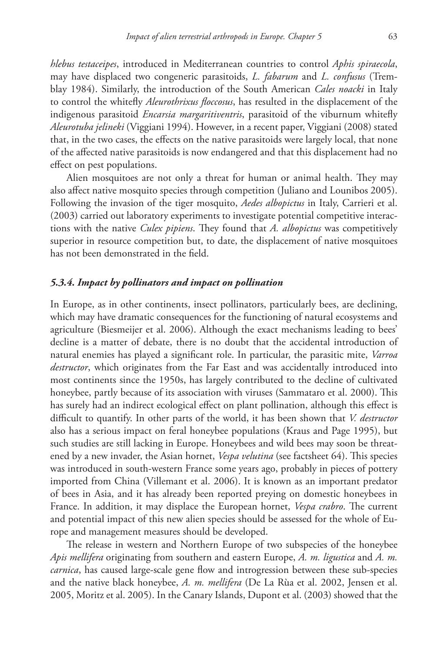*hlebus testaceipes*, introduced in Mediterranean countries to control *Aphis spiraecola*, may have displaced two congeneric parasitoids, *L. fabarum* and *L. confusus* (Tremblay 1984). Similarly, the introduction of the South American *Cales noacki* in Italy to control the whitefly *Aleurothrixus floccosus*, has resulted in the displacement of the indigenous parasitoid *Encarsia margaritiventris*, parasitoid of the viburnum whitefly *Aleurotuba jelineki* (Viggiani 1994). However, in a recent paper, Viggiani (2008) stated that, in the two cases, the effects on the native parasitoids were largely local, that none of the affected native parasitoids is now endangered and that this displacement had no effect on pest populations.

Alien mosquitoes are not only a threat for human or animal health. They may also affect native mosquito species through competition (Juliano and Lounibos 2005). Following the invasion of the tiger mosquito, *Aedes albopictus* in Italy, Carrieri et al. (2003) carried out laboratory experiments to investigate potential competitive interactions with the native *Culex pipiens*. They found that *A. albopictus* was competitively superior in resource competition but, to date, the displacement of native mosquitoes has not been demonstrated in the field.

## *5.3.4. Impact by pollinators and impact on pollination*

In Europe, as in other continents, insect pollinators, particularly bees, are declining, which may have dramatic consequences for the functioning of natural ecosystems and agriculture (Biesmeijer et al. 2006). Although the exact mechanisms leading to bees' decline is a matter of debate, there is no doubt that the accidental introduction of natural enemies has played a significant role. In particular, the parasitic mite, *Varroa destructor*, which originates from the Far East and was accidentally introduced into most continents since the 1950s, has largely contributed to the decline of cultivated honeybee, partly because of its association with viruses (Sammataro et al. 2000). This has surely had an indirect ecological effect on plant pollination, although this effect is difficult to quantify. In other parts of the world, it has been shown that *V. destructor* also has a serious impact on feral honeybee populations (Kraus and Page 1995), but such studies are still lacking in Europe. Honeybees and wild bees may soon be threatened by a new invader, the Asian hornet, *Vespa velutina* (see factsheet 64). This species was introduced in south-western France some years ago, probably in pieces of pottery imported from China (Villemant et al. 2006). It is known as an important predator of bees in Asia, and it has already been reported preying on domestic honeybees in France. In addition, it may displace the European hornet, *Vespa crabro*. The current and potential impact of this new alien species should be assessed for the whole of Europe and management measures should be developed.

The release in western and Northern Europe of two subspecies of the honeybee *Apis mellifera* originating from southern and eastern Europe, *A. m. ligustica* and *A. m. carnica*, has caused large-scale gene flow and introgression between these sub-species and the native black honeybee, *A. m. mellifera* (De La Rùa et al. 2002, Jensen et al. 2005, Moritz et al. 2005). In the Canary Islands, Dupont et al. (2003) showed that the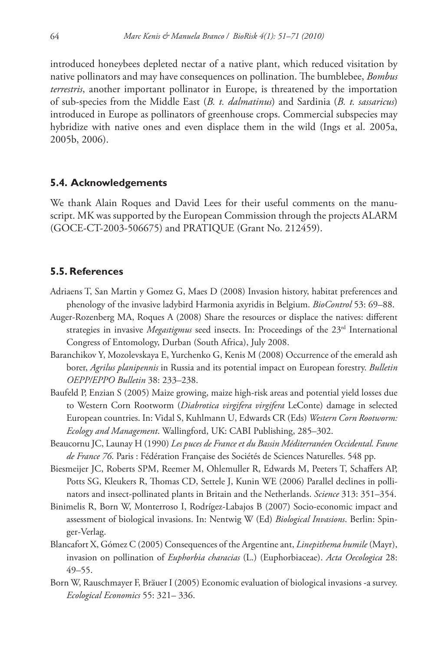introduced honeybees depleted nectar of a native plant, which reduced visitation by native pollinators and may have consequences on pollination. The bumblebee, *Bombus terrestris*, another important pollinator in Europe, is threatened by the importation of sub-species from the Middle East (*B. t. dalmatinus*) and Sardinia (*B. t. sassaricus*) introduced in Europe as pollinators of greenhouse crops. Commercial subspecies may hybridize with native ones and even displace them in the wild (Ings et al. 2005a, 2005b, 2006).

#### **5.4. Acknowledgements**

We thank Alain Roques and David Lees for their useful comments on the manuscript. MK was supported by the European Commission through the projects ALARM (GOCE-CT-2003-506675) and PRATIQUE (Grant No. 212459).

### **5.5. References**

- Adriaens T, San Martin y Gomez G, Maes D (2008) Invasion history, habitat preferences and phenology of the invasive ladybird Harmonia axyridis in Belgium. *BioControl* 53: 69–88.
- Auger-Rozenberg MA, Roques A (2008) Share the resources or displace the natives: different strategies in invasive *Megastigmus* seed insects. In: Proceedings of the 23rd International Congress of Entomology, Durban (South Africa), July 2008.
- Baranchikov Y, Mozolevskaya E, Yurchenko G, Kenis M (2008) Occurrence of the emerald ash borer, *Agrilus planipennis* in Russia and its potential impact on European forestry. *Bulletin OEPP/EPPO Bulletin* 38: 233–238.
- Baufeld P, Enzian S (2005) Maize growing, maize high-risk areas and potential yield losses due to Western Corn Rootworm (*Diabrotica virgifera virgifera* LeConte) damage in selected European countries. In: Vidal S, Kuhlmann U, Edwards CR (Eds) *Western Corn Rootworm: Ecology and Management*. Wallingford, UK: CABI Publishing, 285–302.
- Beaucornu JC, Launay H (1990) *Les puces de France et du Bassin Méditerranéen Occidental. Faune de France 76*. Paris : Fédération Française des Sociétés de Sciences Naturelles. 548 pp.
- Biesmeijer JC, Roberts SPM, Reemer M, Ohlemuller R, Edwards M, Peeters T, Schaffers AP, Potts SG, Kleukers R, Thomas CD, Settele J, Kunin WE (2006) Parallel declines in pollinators and insect-pollinated plants in Britain and the Netherlands. *Science* 313: 351–354.
- Binimelis R, Born W, Monterroso I, Rodrígez-Labajos B (2007) Socio-economic impact and assessment of biological invasions. In: Nentwig W (Ed) *Biological Invasions*. Berlin: Spinger-Verlag.
- Blancafort X, Gómez C (2005) Consequences of the Argentine ant, *Linepithema humile* (Mayr), invasion on pollination of *Euphorbia characias* (L.) (Euphorbiaceae). *Acta Oecologica* 28: 49–55.
- Born W, Rauschmayer F, Bräuer I (2005) Economic evaluation of biological invasions -a survey. *Ecological Economics* 55: 321– 336.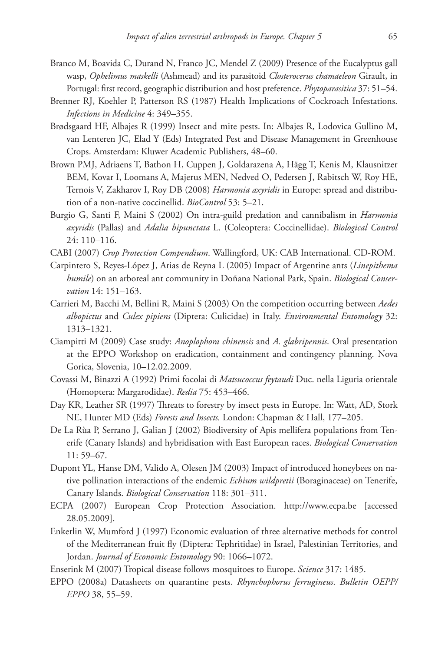- Branco M, Boavida C, Durand N, Franco JC, Mendel Z (2009) Presence of the Eucalyptus gall wasp, *Ophelimus maskelli* (Ashmead) and its parasitoid *Closterocerus chamaeleon* Girault, in Portugal: first record, geographic distribution and host preference. *Phytoparasitica* 37: 51–54.
- Brenner RJ, Koehler P, Patterson RS (1987) Health Implications of Cockroach Infestations. *Infections in Medicine* 4: 349–355.
- Brødsgaard HF, Albajes R (1999) Insect and mite pests. In: Albajes R, Lodovica Gullino M, van Lenteren JC, Elad Y (Eds) Integrated Pest and Disease Management in Greenhouse Crops. Amsterdam: Kluwer Academic Publishers, 48–60.
- Brown PMJ, Adriaens T, Bathon H, Cuppen J, Goldarazena A, Hägg T, Kenis M, Klausnitzer BEM, Kovar I, Loomans A, Majerus MEN, Nedved O, Pedersen J, Rabitsch W, Roy HE, Ternois V, Zakharov I, Roy DB (2008) *Harmonia axyridis* in Europe: spread and distribution of a non-native coccinellid. *BioControl* 53: 5–21.
- Burgio G, Santi F, Maini S (2002) On intra-guild predation and cannibalism in *Harmonia axyridis* (Pallas) and *Adalia bipunctata* L. (Coleoptera: Coccinellidae). *Biological Control* 24: 110–116.
- CABI (2007) *Crop Protection Compendium*. Wallingford, UK: CAB International. CD-ROM.
- Carpintero S, Reyes-López J, Arias de Reyna L (2005) Impact of Argentine ants (*Linepithema humile*) on an arboreal ant community in Doñana National Park, Spain. *Biological Conservation* 14: 151–163.
- Carrieri M, Bacchi M, Bellini R, Maini S (2003) On the competition occurring between *Aedes albopictus* and *Culex pipiens* (Diptera: Culicidae) in Italy. *Environmental Entomology* 32: 1313–1321.
- Ciampitti M (2009) Case study: *Anoplophora chinensis* and *A. glabripennis*. Oral presentation at the EPPO Workshop on eradication, containment and contingency planning. Nova Gorica, Slovenia, 10–12.02.2009.
- Covassi M, Binazzi A (1992) Primi focolai di *Matsucoccus feytaudi* Duc. nella Liguria orientale (Homoptera: Margarodidae). *Redia* 75: 453–466.
- Day KR, Leather SR (1997) Threats to forestry by insect pests in Europe. In: Watt, AD, Stork NE, Hunter MD (Eds) *Forests and Insects.* London: Chapman & Hall, 177–205.
- De La Rùa P, Serrano J, Galian J (2002) Biodiversity of Apis mellifera populations from Tenerife (Canary Islands) and hybridisation with East European races. *Biological Conservation*  11: 59–67.
- Dupont YL, Hanse DM, Valido A, Olesen JM (2003) Impact of introduced honeybees on native pollination interactions of the endemic *Echium wildpretii* (Boraginaceae) on Tenerife, Canary Islands. *Biological Conservation* 118: 301–311.
- ECPA (2007) European Crop Protection Association. <http://www.ecpa.be> [accessed 28.05.2009].
- Enkerlin W, Mumford J (1997) Economic evaluation of three alternative methods for control of the Mediterranean fruit fly (Diptera: Tephritidae) in Israel, Palestinian Territories, and Jordan. *Journal of Economic Entomology* 90: 1066–1072.
- Enserink M (2007) Tropical disease follows mosquitoes to Europe. *Science* 317: 1485.
- EPPO (2008a) Datasheets on quarantine pests. *Rhynchophorus ferrugineus*. *Bulletin OEPP/ EPPO* 38, 55–59.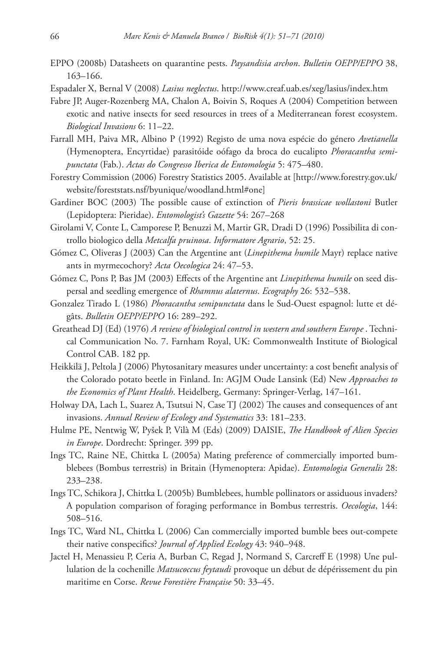- EPPO (2008b) Datasheets on quarantine pests. *Paysandisia archon*. *Bulletin OEPP/EPPO* 38, 163–166.
- Espadaler X, Bernal V (2008) *Lasius neglectus*.<http://www.creaf.uab.es/xeg/lasius/index.htm>
- Fabre JP, Auger-Rozenberg MA, Chalon A, Boivin S, Roques A (2004) Competition between exotic and native insects for seed resources in trees of a Mediterranean forest ecosystem. *Biological Invasions* 6: 11–22.
- Farrall MH, Paiva MR, Albino P (1992) Registo de uma nova espécie do género *Avetianella* (Hymenoptera, Encyrtidae) parasitóide oófago da broca do eucalipto *Phoracantha semipunctata* (Fab.). *Actas do Congresso Iberica de Entomologia* 5: 475–480.
- For[estry Commission \(2006\) Forestry Statistics 2005. Available at \[http://www.forestry.gov.uk/](http://www.forestry.gov.uk/website/foreststats.nsf/byunique/woodland.html#one) website/foreststats.nsf/byunique/woodland.html#one]
- Gardiner BOC (2003) The possible cause of extinction of *Pieris brassicae wollastoni* Butler (Lepidoptera: Pieridae). *Entomologist's Gazette* 54: 267–268
- Girolami V, Conte L, Camporese P, Benuzzi M, Martir GR, Dradi D (1996) Possibilita di controllo biologico della *Metcalfa pruinosa*. *Informatore Agrario*, 52: 25.
- Gómez C, Oliveras J (2003) Can the Argentine ant (*Linepithema humile* Mayr) replace native ants in myrmecochory? *Acta Oecologica* 24: 47–53.
- Gómez C, Pons P, Bas JM (2003) Effects of the Argentine ant *Linepithema humile* on seed dispersal and seedling emergence of *Rhamnus alaternus*. *Ecography* 26: 532–538.
- Gonzalez Tirado L (1986) *Phoracantha semipunctata* dans le Sud-Ouest espagnol: lutte et dégâts. *Bulletin OEPP/EPPO* 16: 289–292.
- Greathead DJ (Ed) (1976) *A review of biological control in western and southern Europe* . Technical Communication No. 7. Farnham Royal, UK: Commonwealth Institute of Biological Control CAB. 182 pp.
- Heikkilä J, Peltola J (2006) Phytosanitary measures under uncertainty: a cost benefi t analysis of the Colorado potato beetle in Finland. In: AGJM Oude Lansink (Ed) New *Approaches to the Economics of Plant Health*. Heidelberg, Germany: Springer-Verlag, 147–161.
- Holway DA, Lach L, Suarez A, Tsutsui N, Case TJ (2002) The causes and consequences of ant invasions. *Annual Review of Ecology and Systematics* 33: 181–233.
- Hulme PE, Nentwig W, Pyšek P, Vilà M (Eds) (2009) DAISIE, *The Handbook of Alien Species in Europe*. Dordrecht: Springer. 399 pp.
- Ings TC, Raine NE, Chittka L (2005a) Mating preference of commercially imported bumblebees (Bombus terrestris) in Britain (Hymenoptera: Apidae). *Entomologia Generalis* 28: 233–238.
- Ings TC, Schikora J, Chittka L (2005b) Bumblebees, humble pollinators or assiduous invaders? A population comparison of foraging performance in Bombus terrestris. *Oecologia*, 144: 508–516.
- Ings TC, Ward NL, Chittka L (2006) Can commercially imported bumble bees out-compete their native conspecifics? *Journal of Applied Ecology* 43: 940-948.
- Jactel H, Menassieu P, Ceria A, Burban C, Regad J, Normand S, Carcreff E (1998) Une pullulation de la cochenille *Matsucoccus feytaudi* provoque un début de dépérissement du pin maritime en Corse. *Revue Forestière Française* 50: 33–45.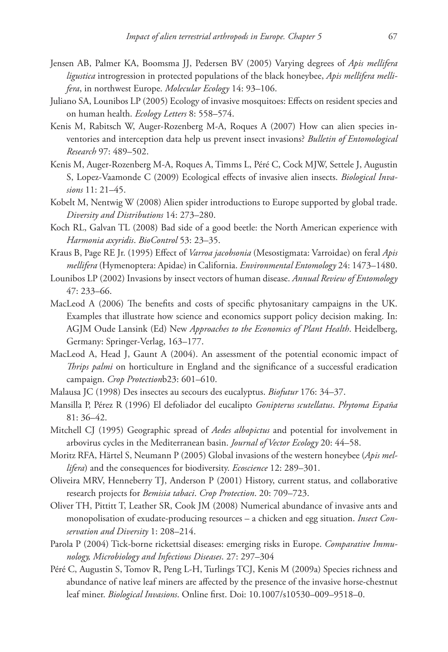- Jensen AB, Palmer KA, Boomsma JJ, Pedersen BV (2005) Varying degrees of *Apis mellifera ligustica* introgression in protected populations of the black honeybee, *Apis mellifera mellifera*, in northwest Europe. *Molecular Ecology* 14: 93–106.
- Juliano SA, Lounibos LP (2005) Ecology of invasive mosquitoes: Effects on resident species and on human health. *Ecology Letters* 8: 558–574.
- Kenis M, Rabitsch W, Auger-Rozenberg M-A, Roques A (2007) How can alien species inventories and interception data help us prevent insect invasions? *Bulletin of Entomological Research* 97: 489–502.
- Kenis M, Auger-Rozenberg M-A, Roques A, Timms L, Péré C, Cock MJW, Settele J, Augustin S, Lopez-Vaamonde C (2009) Ecological effects of invasive alien insects. *Biological Invasions* 11: 21–45.
- Kobelt M, Nentwig W (2008) Alien spider introductions to Europe supported by global trade. *Diversity and Distributions* 14: 273–280.
- Koch RL, Galvan TL (2008) Bad side of a good beetle: the North American experience with *Harmonia axyridis*. *BioControl* 53: 23–35.
- Kraus B, Page RE Jr. (1995) Effect of *Varroa jacobsonia* (Mesostigmata: Varroidae) on feral *Apis mellifera* (Hymenoptera: Apidae) in California. *Environmental Entomology* 24: 1473–1480.
- Lounibos LP (2002) Invasions by insect vectors of human disease. *Annual Review of Entomology* 47: 233–66.
- MacLeod A (2006) The benefits and costs of specific phytosanitary campaigns in the UK. Examples that illustrate how science and economics support policy decision making. In: AGJM Oude Lansink (Ed) New *Approaches to the Economics of Plant Health*. Heidelberg, Germany: Springer-Verlag, 163–177.
- MacLeod A, Head J, Gaunt A (2004). An assessment of the potential economic impact of *Thrips palmi* on horticulture in England and the significance of a successful eradication campaign. *Crop Protection*b23: 601–610.
- Malausa JC (1998) Des insectes au secours des eucalyptus. *Biofutur* 176: 34–37.
- Mansilla P, Pérez R (1996) El defoliador del eucalipto *Gonipterus scutellatus*. *Phytoma España* 81: 36–42.
- Mitchell CJ (1995) Geographic spread of *Aedes albopictus* and potential for involvement in arbovirus cycles in the Mediterranean basin. *Journal of Vector Ecology* 20: 44–58.
- Moritz RFA, Härtel S, Neumann P (2005) Global invasions of the western honeybee (*Apis mellifera*) and the consequences for biodiversity. *Ecoscience* 12: 289–301.
- Oliveira MRV, Henneberry TJ, Anderson P (2001) History, current status, and collaborative research projects for *Bemisia tabaci*. *Crop Protection*. 20: 709–723.
- Oliver TH, Pittitt T, Leather SR, Cook JM (2008) Numerical abundance of invasive ants and monopolisation of exudate-producing resources – a chicken and egg situation. *Insect Conservation and Diversity* 1: 208–214.
- Parola P (2004) Tick-borne rickettsial diseases: emerging risks in Europe. *Comparative Immunology, Microbiology and Infectious Diseases*. 27: 297–304
- Péré C, Augustin S, Tomov R, Peng L-H, Turlings TCJ, Kenis M (2009a) Species richness and abundance of native leaf miners are affected by the presence of the invasive horse-chestnut leaf miner. *Biological Invasions*. Online first. Doi: 10.1007/s10530-009-9518-0.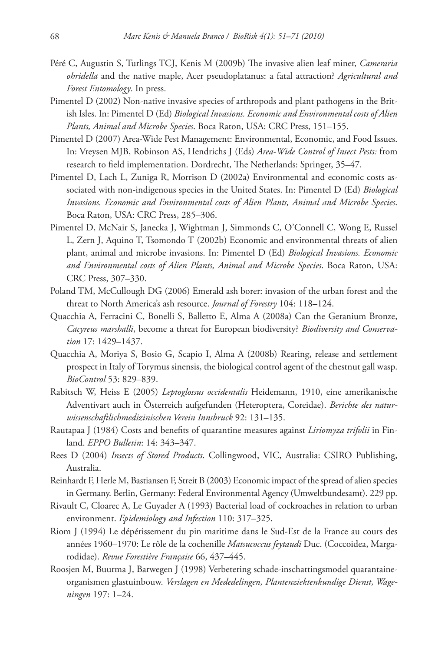- Péré C, Augustin S, Turlings TCJ, Kenis M (2009b) The invasive alien leaf miner, *Cameraria ohridella* and the native maple, Acer pseudoplatanus: a fatal attraction? *Agricultural and Forest Entomology*. In press.
- Pimentel D (2002) Non-native invasive species of arthropods and plant pathogens in the British Isles. In: Pimentel D (Ed) *Biological Invasions. Economic and Environmental costs of Alien Plants, Animal and Microbe Species*. Boca Raton, USA: CRC Press, 151–155.
- Pimentel D (2007) Area-Wide Pest Management: Environmental, Economic, and Food Issues. In: Vreysen MJB, Robinson AS, Hendrichs J (Eds) *Area-Wide Control of Insect Pests:* from research to field implementation. Dordrecht, The Netherlands: Springer, 35-47.
- Pimentel D, Lach L, Zuniga R, Morrison D (2002a) Environmental and economic costs associated with non-indigenous species in the United States. In: Pimentel D (Ed) *Biological Invasions. Economic and Environmental costs of Alien Plants, Animal and Microbe Species*. Boca Raton, USA: CRC Press, 285–306.
- Pimentel D, McNair S, Janecka J, Wightman J, Simmonds C, O'Connell C, Wong E, Russel L, Zern J, Aquino T, Tsomondo T (2002b) Economic and environmental threats of alien plant, animal and microbe invasions. In: Pimentel D (Ed) *Biological Invasions. Economic and Environmental costs of Alien Plants, Animal and Microbe Species*. Boca Raton, USA: CRC Press, 307–330.
- Poland TM, McCullough DG (2006) Emerald ash borer: invasion of the urban forest and the threat to North America's ash resource. *Journal of Forestry* 104: 118–124.
- Quacchia A, Ferracini C, Bonelli S, Balletto E, Alma A (2008a) Can the Geranium Bronze, *Cacyreus marshalli*, become a threat for European biodiversity? *Biodiversity and Conservation* 17: 1429–1437.
- Quacchia A, Moriya S, Bosio G, Scapio I, Alma A (2008b) Rearing, release and settlement prospect in Italy of Torymus sinensis, the biological control agent of the chestnut gall wasp. *BioControl* 53: 829–839.
- Rabitsch W, Heiss E (2005) *Leptoglossus occidentalis* Heidemann, 1910, eine amerikanische Adventivart auch in Österreich aufgefunden (Heteroptera, Coreidae). *Berichte des naturwissenschaftlichmedizinischen Verein Innsbruck* 92: 131–135.
- Rautapaa J (1984) Costs and benefits of quarantine measures against *Liriomyza trifolii* in Finland. *EPPO Bulletin*: 14: 343–347.
- Rees D (2004) *Insects of Stored Products*. Collingwood, VIC, Australia: CSIRO Publishing, Australia.
- Reinhardt F, Herle M, Bastiansen F, Streit B (2003) Economic impact of the spread of alien species in Germany. Berlin, Germany: Federal Environmental Agency (Umweltbundesamt). 229 pp.
- Rivault C, Cloarec A, Le Guyader A (1993) Bacterial load of cockroaches in relation to urban environment. *Epidemiology and Infection* 110: 317–325.
- Riom J (1994) Le dépérissement du pin maritime dans le Sud-Est de la France au cours des années 1960–1970: Le rôle de la cochenille *Matsucoccus feytaudi* Duc. (Coccoidea, Margarodidae). *Revue Forestière Française* 66, 437–445.
- Roosjen M, Buurma J, Barwegen J (1998) Verbetering schade-inschattingsmodel quarantaineorganismen glastuinbouw. *Verslagen en Mededelingen, Plantenziektenkundige Dienst, Wageningen* 197: 1–24.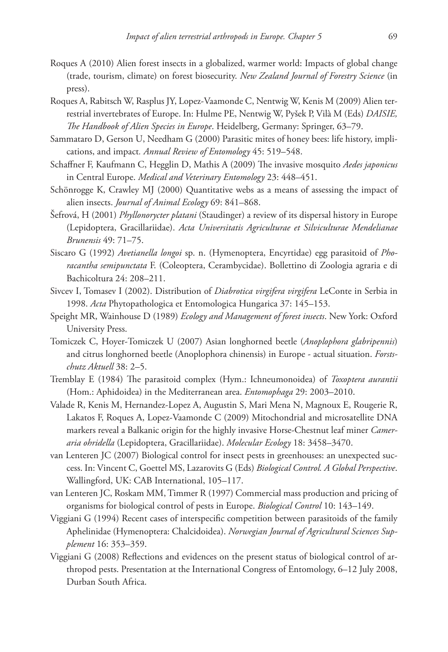- Roques A (2010) Alien forest insects in a globalized, warmer world: Impacts of global change (trade, tourism, climate) on forest biosecurity. *New Zealand Journal of Forestry Science* (in press).
- Roques A, Rabitsch W, Rasplus JY, Lopez-Vaamonde C, Nentwig W, Kenis M (2009) Alien terrestrial invertebrates of Europe. In: Hulme PE, Nentwig W, Pyšek P, Vilà M (Eds) *DAISIE, The Handbook of Alien Species in Europe*. Heidelberg, Germany: Springer, 63–79.
- Sammataro D, Gerson U, Needham G (2000) Parasitic mites of honey bees: life history, implications, and impact*. Annual Review of Entomology* 45: 519–548.
- Schaffner F, Kaufmann C, Hegglin D, Mathis A (2009) The invasive mosquito *Aedes japonicus* in Central Europe. *Medical and Veterinary Entomology* 23: 448–451.
- Schönrogge K, Crawley MJ (2000) Quantitative webs as a means of assessing the impact of alien insects. *Journal of Animal Ecology* 69: 841–868.
- Šefrová, H (2001) *Phyllonorycter platani* (Staudinger) a review of its dispersal history in Europe (Lepidoptera, Gracillariidae). *Acta Universitatis Agriculturae et Silviculturae Mendelianae Brunensis* 49: 71–75.
- Siscaro G (1992) *Avetianella longoi* sp. n. (Hymenoptera, Encyrtidae) egg parasitoid of *Phoracantha semipunctata* F. (Coleoptera, Cerambycidae). Bollettino di Zoologia agraria e di Bachicoltura 24: 208–211.
- Sivcev I, Tomasev I (2002). Distribution of *Diabrotica virgifera virgifera* LeConte in Serbia in 1998. *Acta* Phytopathologica et Entomologica Hungarica 37: 145–153.
- Speight MR, Wainhouse D (1989) *Ecology and Management of forest insects*. New York: Oxford University Press.
- Tomiczek C, Hoyer-Tomiczek U (2007) Asian longhorned beetle (*Anoplophora glabripennis*) and citrus longhorned beetle (Anoplophora chinensis) in Europe - actual situation. *Forstschutz Aktuell* 38: 2–5.
- Tremblay E (1984) The parasitoid complex (Hym.: Ichneumonoidea) of *Toxoptera aurantii* (Hom.: Aphidoidea) in the Mediterranean area. *Entomophaga* 29: 2003–2010.
- Valade R, Kenis M, Hernandez-Lopez A, Augustin S, Mari Mena N, Magnoux E, Rougerie R, Lakatos F, Roques A, Lopez-Vaamonde C (2009) Mitochondrial and microsatellite DNA markers reveal a Balkanic origin for the highly invasive Horse-Chestnut leaf miner *Cameraria ohridella* (Lepidoptera, Gracillariidae). *Molecular Ecology* 18: 3458–3470.
- van Lenteren JC (2007) Biological control for insect pests in greenhouses: an unexpected success. In: Vincent C, Goettel MS, Lazarovits G (Eds) *Biological Control. A Global Perspective*. Wallingford, UK: CAB International, 105–117.
- van Lenteren JC, Roskam MM, Timmer R (1997) Commercial mass production and pricing of organisms for biological control of pests in Europe. *Biological Control* 10: 143–149.
- Viggiani G (1994) Recent cases of interspecifi c competition between parasitoids of the family Aphelinidae (Hymenoptera: Chalcidoidea). *Norwegian Journal of Agricultural Sciences Supplement* 16: 353–359.
- Viggiani G (2008) Reflections and evidences on the present status of biological control of arthropod pests. Presentation at the International Congress of Entomology, 6–12 July 2008, Durban South Africa.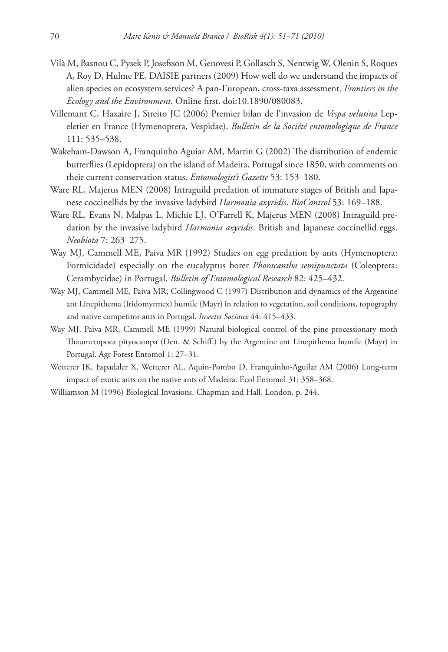- Vilà M, Basnou C, Pysek P, Josefsson M, Genovesi P, Gollasch S, Nentwig W, Olenin S, Roques A, Roy D, Hulme PE, DAISIE partners (2009) How well do we understand the impacts of alien species on ecosystem services? A pan-European, cross-taxa assessment. *Frontiers in the Ecology and the Environment.* Online first. [doi:10.1890/080083.](http://dx.doi.org/10.1890/080083)
- Villemant C, Haxaire J, Streito JC (2006) Premier bilan de l'invasion de *Vespa velutina* Lepeletier en France (Hymenoptera, Vespidae). *Bulletin de la Société entomologique de France* 111: 535–538.
- Wakeham-Dawson A, Franquinho Aguiar AM, Martin G (2002) The distribution of endemic butterflies (Lepidoptera) on the island of Madeira, Portugal since 1850, with comments on their current conservation status. *Entomologist's Gazette* 53: 153–180.
- Ware RL, Majerus MEN (2008) Intraguild predation of immature stages of British and Japanese coccinellids by the invasive ladybird *Harmonia axyridis*. *BioControl* 53: 169–188.
- Ware RL, Evans N, Malpas L, Michie LJ, O'Farrell K, Majerus MEN (2008) Intraguild predation by the invasive ladybird *Harmonia axyridis*. British and Japanese coccinellid eggs. *Neobiota* 7: 263–275.
- Way MJ, Cammell ME, Paiva MR (1992) Studies on egg predation by ants (Hymenoptera: Formicidade) especially on the eucalyptus borer *Phoracantha semipunctata* (Coleoptera: Cerambycidae) in Portugal. *Bulletin of Entomological Research* 82: 425–432.
- Way MJ, Cammell ME, Paiva MR, Collingwood C (1997) Distribution and dynamics of the Argentine ant Linepithema (Iridomyrmex) humile (Mayr) in relation to vegetation, soil conditions, topography and native competitor ants in Portugal. *Insectes Sociaux* 44: 415–433.
- Way MJ, Paiva MR, Cammell ME (1999) Natural biological control of the pine processionary moth Thaumetopoea pityocampa (Den. & Schiff.) by the Argentine ant Linepithema humile (Mayr) in Portugal. Agr Forest Entomol 1: 27–31.
- Wetterer JK, Espadaler X, Wetterer AL, Aquin-Pombo D, Franquinho-Aguilar AM (2006) Long-term impact of exotic ants on the native ants of Madeira. Ecol Entomol 31: 358–368.

Williamson M (1996) Biological Invasions. Chapman and Hall, London, p. 244.